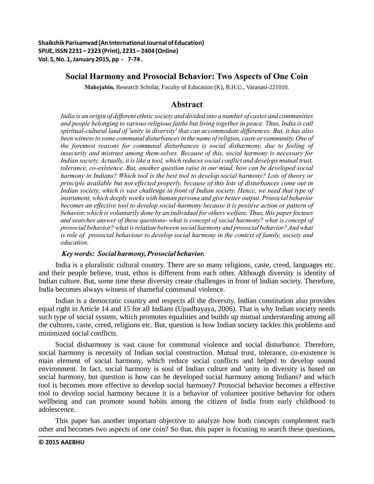# **Social Harmony and Prosocial Behavior: Two Aspects of One Coin**

**Mahejabin,** Research Scholar, Faculty of Education (K), B.H.U., Varanasi-221010.

# **Abstract**

*India is an origin of different ethnic society and divided into a number of castes and communities and people belonging to various religious faiths but living together in peace. Thus, India is call spiritual-cultural land of 'unity in diversity' that can accommodate differences. But, it has also been witness to some communal disturbances in the name of religion, caste or community. One of the foremost reasons for communal disturbances is social disharmony, due to feeling of insecurity and mistrust among them-selves. Because of this, social harmony is necessary for Indian society. Actually, it is like a tool, which reduces social conflict and develops mutual trust, tolerance, co-existence. But, another question raise in our mind, how can be developed social harmony in Indians? Which tool is the best tool to develop social harmony? Lots of theory or principle available but not effected properly, because of this lots of disturbances come out in Indian society, which is vast challenge in front of Indian society. Hence, we need that type of instrument, which deeply works with human persona and give better output. Prosocial behavior*  becomes an effective tool to develop social-harmony because it is positive action or pattern of *behavior, which is voluntarily done by an individual for others welfare. Thus, this paper focuses and searches answer of these questions- what is concept of social harmony? what is concept of prosocial behavior? what is relation between social harmony and prosocial behavior? And what is role of prosocial behaviour to develop social harmony in the context of family, society and education.* 

# *Key words: Social harmony, Prosocial behavior.*

India is a pluralistic cultural country. There are so many religions, caste, creed, languages etc. and their people believe, trust, ethos is different from each other. Although diversity is identity of Indian culture. But, some time these diversity create challenges in front of Indian society. Therefore, India becomes always witness of shameful communal violence.

Indian is a democratic country and respects all the diversity. Indian constitution also provides equal right in Article 14 and 15 for all Indians (Upadhayaya, 2006). That is why Indian society needs such type of social system, which promotes equalities and builds up mutual understanding among all the cultures, caste, creed, religions etc. But, question is how Indian society tackles this problems and minimized social conflicts.

Social disharmony is vast cause for communal violence and social disturbance. Therefore, social harmony is necessity of Indian social construction. Mutual trust, tolerance, co-existence is main element of social harmony, which reduce social conflicts and helped to develop sound environment. In fact, social harmony is soul of Indian culture and 'unity in diversity is based on social harmony, but question is how can be developed social harmony among Indians? and which tool is becomes more effective to develop social harmony? Prosocial behavior becomes a effective tool to develop social harmony because it is a behavior of volunteer positive behavior for others wellbeing and can promote sound habits among the citizen of India from early childhood to adolescence.

This paper has another important objective to analyze how both concepts complement each other and becomes two aspects of one coin? So that, this paper is focusing to search these questions,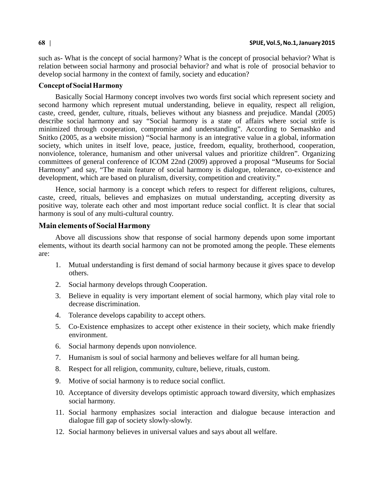such as- What is the concept of social harmony? What is the concept of prosocial behavior? What is relation between social harmony and prosocial behavior? and what is role of prosocial behavior to develop social harmony in the context of family, society and education?

## **Concept of Social Harmony**

Basically Social Harmony concept involves two words first social which represent society and second harmony which represent mutual understanding, believe in equality, respect all religion, caste, creed, gender, culture, rituals, believes without any biasness and prejudice. Mandal (2005) describe social harmony and say "Social harmony is a state of affairs where social strife is minimized through cooperation, compromise and understanding". According to Semashko and Snitko (2005, as a website mission) "Social harmony is an integrative value in a global, information society, which unites in itself love, peace, justice, freedom, equality, brotherhood, cooperation, nonviolence, tolerance, humanism and other universal values and prioritize children". Organizing committees of general conference of ICOM 22nd (2009) approved a proposal "Museums for Social Harmony" and say, "The main feature of social harmony is dialogue, tolerance, co-existence and development, which are based on pluralism, diversity, competition and creativity."

Hence, social harmony is a concept which refers to respect for different religions, cultures, caste, creed, rituals, believes and emphasizes on mutual understanding, accepting diversity as positive way, tolerate each other and most important reduce social conflict. It is clear that social harmony is soul of any multi-cultural country.

## **Main elements of Social Harmony**

Above all discussions show that response of social harmony depends upon some important elements, without its dearth social harmony can not be promoted among the people. These elements are:

- 1. Mutual understanding is first demand of social harmony because it gives space to develop others.
- 2. Social harmony develops through Cooperation.
- 3. Believe in equality is very important element of social harmony, which play vital role to decrease discrimination.
- 4. Tolerance develops capability to accept others.
- 5. Co-Existence emphasizes to accept other existence in their society, which make friendly environment.
- 6. Social harmony depends upon nonviolence.
- 7. Humanism is soul of social harmony and believes welfare for all human being.
- 8. Respect for all religion, community, culture, believe, rituals, custom.
- 9. Motive of social harmony is to reduce social conflict.
- 10. Acceptance of diversity develops optimistic approach toward diversity, which emphasizes social harmony.
- 11. Social harmony emphasizes social interaction and dialogue because interaction and dialogue fill gap of society slowly-slowly.
- 12. Social harmony believes in universal values and says about all welfare.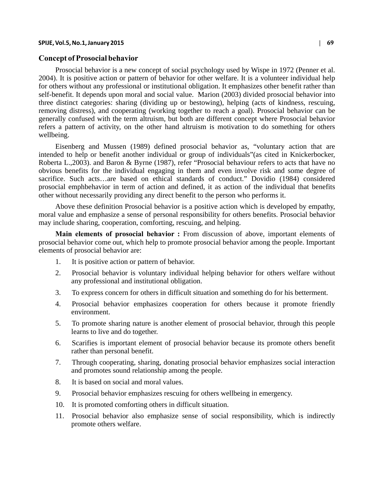#### **SPIJE, Vol.5, No.1, January 2015 | 69**

#### **Concept of Prosocial behavior**

Prosocial behavior is a new concept of social psychology used by Wispe in 1972 (Penner et al. 2004). It is positive action or pattern of behavior for other welfare. It is a volunteer individual help for others without any professional or institutional obligation. It emphasizes other benefit rather than self-benefit. It depends upon moral and social value. Marion (2003) divided prosocial behavior into three distinct categories: sharing (dividing up or bestowing), helping (acts of kindness, rescuing, removing distress), and cooperating (working together to reach a goal). Prosocial behavior can be generally confused with the term altruism, but both are different concept where Prosocial behavior refers a pattern of activity, on the other hand altruism is motivation to do something for others wellbeing.

Eisenberg and Mussen (1989) defined prosocial behavior as, "voluntary action that are intended to help or benefit another individual or group of individuals"(as cited in Knickerbocker, Roberta L.,2003). and Baron & Byrne (1987), refer "Prosocial behaviour refers to acts that have no obvious benefits for the individual engaging in them and even involve risk and some degree of sacrifice. Such acts…are based on ethical standards of conduct." Dovidio (1984) considered prosocial emphbehavior in term of action and defined, it as action of the individual that benefits other without necessarily providing any direct benefit to the person who performs it.

Above these definition Prosocial behavior is a positive action which is developed by empathy, moral value and emphasize a sense of personal responsibility for others benefits. Prosocial behavior may include sharing, cooperation, comforting, rescuing, and helping.

**Main elements of prosocial behavior :** From discussion of above, important elements of prosocial behavior come out, which help to promote prosocial behavior among the people. Important elements of prosocial behavior are:

- 1. It is positive action or pattern of behavior.
- 2. Prosocial behavior is voluntary individual helping behavior for others welfare without any professional and institutional obligation.
- 3. To express concern for others in difficult situation and something do for his betterment.
- 4. Prosocial behavior emphasizes cooperation for others because it promote friendly environment.
- 5. To promote sharing nature is another element of prosocial behavior, through this people learns to live and do together.
- 6. Scarifies is important element of prosocial behavior because its promote others benefit rather than personal benefit.
- 7. Through cooperating, sharing, donating prosocial behavior emphasizes social interaction and promotes sound relationship among the people.
- 8. It is based on social and moral values.
- 9. Prosocial behavior emphasizes rescuing for others wellbeing in emergency.
- 10. It is promoted comforting others in difficult situation.
- 11. Prosocial behavior also emphasize sense of social responsibility, which is indirectly promote others welfare.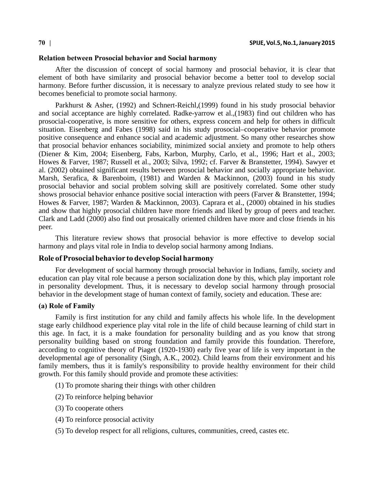#### **Relation between Prosocial behavior and Social harmony**

After the discussion of concept of social harmony and prosocial behavior, it is clear that element of both have similarity and prosocial behavior become a better tool to develop social harmony. Before further discussion, it is necessary to analyze previous related study to see how it becomes beneficial to promote social harmony.

Parkhurst & Asher, (1992) and Schnert-Reichl,(1999) found in his study prosocial behavior and social acceptance are highly correlated. Radke-yarrow et al.,(1983) find out children who has prosocial-cooperative, is more sensitive for others, express concern and help for others in difficult situation. Eisenberg and Fabes (1998) said in his study prosocial–cooperative behavior promote positive consequence and enhance social and academic adjustment. So many other researches show that prosocial behavior enhances sociability, minimized social anxiety and promote to help others (Diener & Kim, 2004; Eisenberg, Fabs, Karbon, Murphy, Carlo, et al., 1996; Hart et al., 2003; Howes & Farver, 1987; Russell et al., 2003; Silva, 1992; cf. Farver & Branstetter, 1994). Sawyer et al. (2002) obtained significant results between prosocial behavior and socially appropriate behavior. Marsh, Serafica, & Barenboim, (1981) and Warden & Mackinnon, (2003) found in his study prosocial behavior and social problem solving skill are positively correlated. Some other study shows prosocial behavior enhance positive social interaction with peers (Farver & Branstetter, 1994; Howes & Farver, 1987; Warden & Mackinnon, 2003). Caprara et al., (2000) obtained in his studies and show that highly prosocial children have more friends and liked by group of peers and teacher. Clark and Ladd (2000) also find out prosaically oriented children have more and close friends in his peer.

This literature review shows that prosocial behavior is more effective to develop social harmony and plays vital role in India to develop social harmony among Indians.

## **Role of Prosocial behavior to develop Social harmony**

For development of social harmony through prosocial behavior in Indians, family, society and education can play vital role because a person socialization done by this, which play important role in personality development. Thus, it is necessary to develop social harmony through prosocial behavior in the development stage of human context of family, society and education. These are:

## **(a) Role of Family**

Family is first institution for any child and family affects his whole life. In the development stage early childhood experience play vital role in the life of child because learning of child start in this age. In fact, it is a make foundation for personality building and as you know that strong personality building based on strong foundation and family provide this foundation. Therefore, according to cognitive theory of Piaget (1920-1930) early five year of life is very important in the developmental age of personality (Singh, A.K., 2002). Child learns from their environment and his family members, thus it is family's responsibility to provide healthy environment for their child growth. For this family should provide and promote these activities:

- (1) To promote sharing their things with other children
- (2) To reinforce helping behavior
- (3) To cooperate others
- (4) To reinforce prosocial activity
- (5) To develop respect for all religions, cultures, communities, creed, castes etc.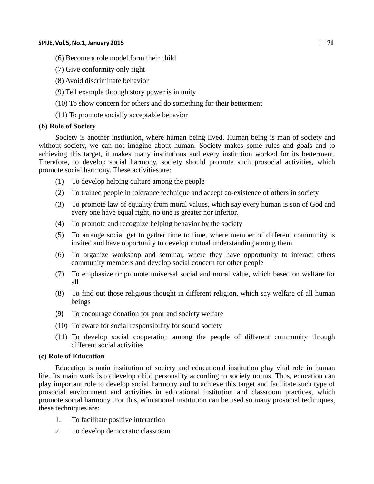#### **SPIJE, Vol.5, No.1, January 2015 | 71**

- (6) Become a role model form their child
- (7) Give conformity only right
- (8) Avoid discriminate behavior
- (9) Tell example through story power is in unity
- (10) To show concern for others and do something for their betterment
- (11) To promote socially acceptable behavior

# **(b) Role of Society**

Society is another institution, where human being lived. Human being is man of society and without society, we can not imagine about human. Society makes some rules and goals and to achieving this target, it makes many institutions and every institution worked for its betterment. Therefore, to develop social harmony, society should promote such prosocial activities, which promote social harmony. These activities are:

- (1) To develop helping culture among the people
- (2) To trained people in tolerance technique and accept co-existence of others in society
- (3) To promote law of equality from moral values, which say every human is son of God and every one have equal right, no one is greater nor inferior.
- (4) To promote and recognize helping behavior by the society
- (5) To arrange social get to gather time to time, where member of different community is invited and have opportunity to develop mutual understanding among them
- (6) To organize workshop and seminar, where they have opportunity to interact others community members and develop social concern for other people
- (7) To emphasize or promote universal social and moral value, which based on welfare for all
- (8) To find out those religious thought in different religion, which say welfare of all human beings
- (9) To encourage donation for poor and society welfare
- (10) To aware for social responsibility for sound society
- (11) To develop social cooperation among the people of different community through different social activities

# **(c) Role of Education**

Education is main institution of society and educational institution play vital role in human life. Its main work is to develop child personality according to society norms. Thus, education can play important role to develop social harmony and to achieve this target and facilitate such type of prosocial environment and activities in educational institution and classroom practices, which promote social harmony. For this, educational institution can be used so many prosocial techniques, these techniques are:

- 1. To facilitate positive interaction
- 2. To develop democratic classroom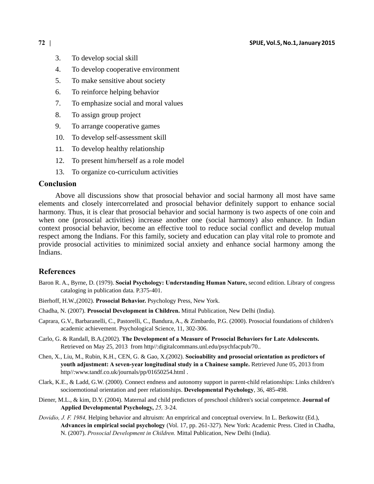- 3. To develop social skill
- 4. To develop cooperative environment
- 5. To make sensitive about society
- 6. To reinforce helping behavior
- 7. To emphasize social and moral values
- 8. To assign group project
- 9. To arrange cooperative games
- 10. To develop self-assessment skill
- 11. To develop healthy relationship
- 12. To present him/herself as a role model
- 13. To organize co-curriculum activities

### **Conclusion**

Above all discussions show that prosocial behavior and social harmony all most have same elements and closely intercorrelated and prosocial behavior definitely support to enhance social harmony. Thus, it is clear that prosocial behavior and social harmony is two aspects of one coin and when one (prosocial activities) increase another one (social harmony) also enhance. In Indian context prosocial behavior, become an effective tool to reduce social conflict and develop mutual respect among the Indians. For this family, society and education can play vital role to promote and provide prosocial activities to minimized social anxiety and enhance social harmony among the Indians.

## **References**

- Baron R. A., Byrne, D. (1979). **Social Psychology: Understanding Human Nature,** second edition. Library of congress cataloging in publication data. P.375-401.
- Bierhoff, H.W.,(2002). **Prosocial Behavior.** Psychology Press, New York.
- Chadha, N. (2007). **Prosocial Development in Children.** Mittal Publication, New Delhi (India).
- Caprara, G.V., Barbaranelli, C., Pastorelli, C., Bandura, A., & Zimbardo, P.G. (2000). Prosocial foundations of children's academic achievement. Psychological Science, 11, 302-306.
- Carlo, G. & Randall, B.A.(2002). **The Development of a Measure of Prosocial Behaviors for Late Adolescents.** Retrieved on May 25, 2013 from http//:digitalcommans.unl.edu/psychfacpub/70..
- Chen, X., Liu, M., Rubin, K.H., CEN, G. & Gao, X.(2002). **Socioability and prosocial orientation as predictors of youth adjustment: A seven-year longitudinal study in a Chainese sample.** Retrieved June 05, 2013 from http//:www.tandf.co.uk/journals/pp/01650254.html .
- Clark, K.E., & Ladd, G.W. (2000). Connect endness and autonomy support in parent-child relationships: Links children's socioemotional orientation and peer relationships. **Developmental Psychology**, 36, 485-498.
- Diener, M.L., & kim, D.Y. (2004). Maternal and child predictors of preschool children's social competence. **Journal of Applied Developmental Psychology,** *25,* 3-24.
- *Dovidio, J. F. 1984,* Helping behavior and altruism: An emprirical and conceptual overview. In L. Berkowitz (Ed.), **Advances in empirical social psychology** (Vol. 17, pp. 261-327). New York: Academic Press. Cited in Chadha, N. (2007). *Prosocial Development in Children.* Mittal Publication, New Delhi (India).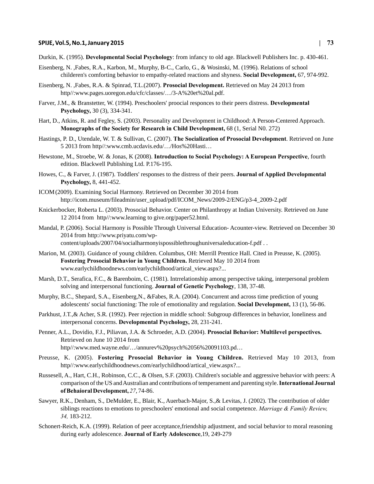#### **SPIJE, Vol.5, No.1, January 2015 | 73**

- Eisenberg, N. ,Fabes, R.A., Karbon, M., Murphy, B-C., Carlo, G., & Wosinski, M. (1996). Relations of school childeren's comforting behavior to empathy-related reactions and shyness. **Social Development,** 67, 974-992.
- Eisenberg, N. ,Fabes, R.A. & Spinrad, T.L.(2007). **Prosocial Development.** Retrieved on May 24 2013 from http//:www.pages.uoregon.edu/cfc/classes/…/3-A%20et%20al.pdf.
- Farver, J.M., & Branstetter, W. (1994). Preschoolers' proocial responces to their peers distress. **Developmental Psychology,** 30 (3), 334-341.
- Hart, D., Atkins, R. and Fegley, S. (2003). Personality and Development in Childhood: A Person-Centered Approach. **Monographs of the Society for Research in Child Development,** 68 (1, Serial N0. 272)
- Hastings, P. D., Utendale, W. T. & Sullivan, C. (2007). **The Socialization of Prosocial Development**. Retrieved on June 5 2013 from http//:www.cmb.ucdavis.edu/…/Hos%20Hasti…
- Hewstone, M., Stroebe, W. & Jonas, K (2008). **Introduction to Social Psychology: A European Perspective**, fourth edition. Blackwell Publishing Ltd. P.176-195.
- Howes, C., & Farver, J. (1987). Toddlers' responses to the distress of their peers. **Journal of Applied Developmental Psychology,** 8, 441-452.
- ICOM (2009). Examining Social Harmony. Retrieved on December 30 2014 from http://icom.museum/fileadmin/user\_upload/pdf/ICOM\_News/2009-2/ENG/p3-4\_2009-2.pdf
- Knickerbocker, Roberta L. (2003). Prosocial Behavior. Center on Philanthropy at Indian University. Retrieved on June 12 2014 from http//:www.learning to give.org/paper52.html.
- Mandal, P. (2006). Social Harmony is Possible Through Universal Education- Acounter-view. Retrieved on December 30 2014 from http://www.priyatu.com/wpcontent/uploads/2007/04/socialharmonyispossiblethroughuniversaleducation-f.pdf . .
- Marion, M. (2003). Guidance of young children. Columbus, OH: Merrill Prentice Hall. Cited in Preusse, K. (2005). **Fostering Prosocial Behavior in Young Children.** Retrieved May 10 2014 from www.earlychildhoodnews.com/earlychildhood/artical\_view.aspx?...
- Marsh, D.T., Serafica, F.C., & Barenboim, C. (1981). Intrrelationship among perspective taking, interpersonal problem solving and interpersonal functioning. **Journal of Genetic Psychology**, 138, 37-48.
- Murphy, B.C., Shepard, S.A., Eisenberg,N., &Fabes, R.A. (2004). Concurrent and across time prediction of young adolescents' social functioning: The role of emotionality and regulation. **Social Development,** 13 (1), 56-86.
- Parkhust, J.T.,& Acher, S.R. (1992). Peer rejection in middle school: Subgroup differences in behavior, loneliness and interpersonal concerns. **Developmental Psychology,** 28, 231-241.
- Penner, A.L., Dovidio, F.J., Piliavan, J.A. & Schroeder, A.D. (2004). **Prosocial Behavior: Multilevel perspectives.** Retrieved on June 10 2014 from http//:www.med.wayne.edu/…/annurev%20psych%2056%20091103.pd…
- Preusse, K. (2005). **Fostering Prosocial Behavior in Young Children.** Retrieved May 10 2013, from http//:www.earlychildhoodnews.com/earlychildhood/artical\_view.aspx?...
- Russesell, A., Hart, C.H., Robinson, C.C., & Olsen, S.F. (2003). Children's sociable and aggressive behavior with peers: A comparison of the US and Australian and contributions of temperament and parenting style. **International Journal of Behaioral Development,** *27*, 74-86.
- Sawyer, R.K., Denham, S., DeMulder, E., Blair, K., Auerbach-Major, S.,& Levitas, J. (2002). The contribution of older siblings reactions to emotions to preschoolers' emotional and social competence. *Marriage & Family Review, 34,* 183-212.
- Schonert-Reich, K.A. (1999). Relation of peer acceptance,friendship adjustment, and social behavior to moral reasoning during early adolescence. **Journal of Early Adolescence**,19, 249-279